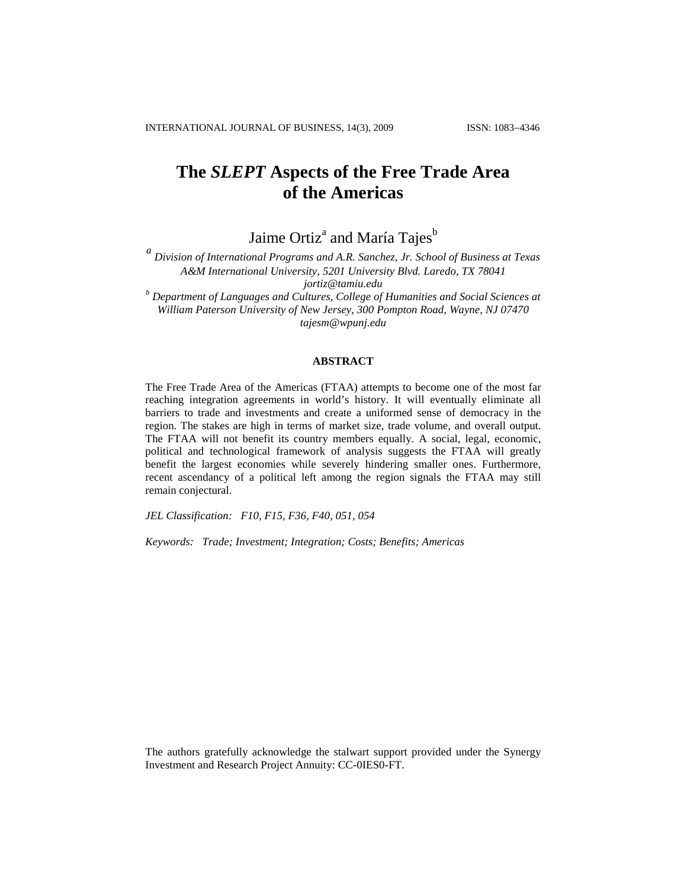# **The** *SLEPT* **Aspects of the Free Trade Area of the Americas**

Jaime Ortiz<sup>a</sup> and María Tajes<sup>b</sup>

*a Division of International Programs and A.R. Sanchez, Jr. School of Business at Texas A&M International University, 5201 University Blvd. Laredo, TX 78041 jortiz@tamiu.edu <sup>b</sup> Department of Languages and Cultures, College of Humanities and Social Sciences at*

*William Paterson University of New Jersey, 300 Pompton Road, Wayne, NJ 07470 tajesm@wpunj.edu*

# **ABSTRACT**

The Free Trade Area of the Americas (FTAA) attempts to become one of the most far reaching integration agreements in world's history. It will eventually eliminate all barriers to trade and investments and create a uniformed sense of democracy in the region. The stakes are high in terms of market size, trade volume, and overall output. The FTAA will not benefit its country members equally. A social, legal, economic, political and technological framework of analysis suggests the FTAA will greatly benefit the largest economies while severely hindering smaller ones. Furthermore, recent ascendancy of a political left among the region signals the FTAA may still remain conjectural.

*JEL Classification: F10, F15, F36, F40, 051, 054*

*Keywords: Trade; Investment; Integration; Costs; Benefits; Americas*

The authors gratefully acknowledge the stalwart support provided under the Synergy Investment and Research Project Annuity: CC-0IES0-FT.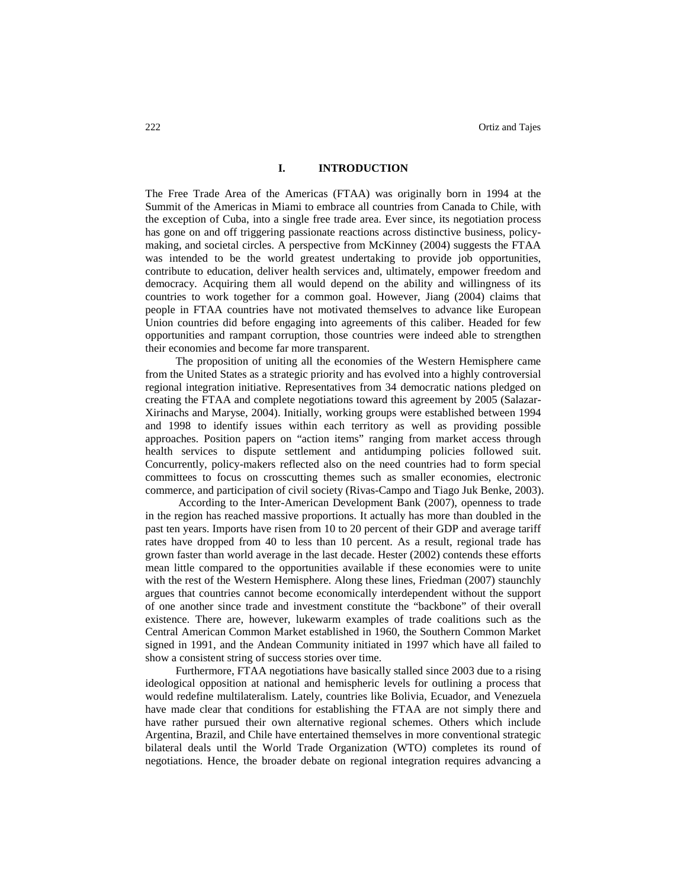# **I. INTRODUCTION**

The Free Trade Area of the Americas (FTAA) was originally born in 1994 at the Summit of the Americas in Miami to embrace all countries from Canada to Chile, with the exception of Cuba, into a single free trade area. Ever since, its negotiation process has gone on and off triggering passionate reactions across distinctive business, policymaking, and societal circles. A perspective from McKinney (2004) suggests the FTAA was intended to be the world greatest undertaking to provide job opportunities, contribute to education, deliver health services and, ultimately, empower freedom and democracy. Acquiring them all would depend on the ability and willingness of its countries to work together for a common goal. However, Jiang (2004) claims that people in FTAA countries have not motivated themselves to advance like European Union countries did before engaging into agreements of this caliber. Headed for few opportunities and rampant corruption, those countries were indeed able to strengthen their economies and become far more transparent.

The proposition of uniting all the economies of the Western Hemisphere came from the United States as a strategic priority and has evolved into a highly controversial regional integration initiative. Representatives from 34 democratic nations pledged on creating the FTAA and complete negotiations toward this agreement by 2005 (Salazar-Xirinachs and Maryse, 2004). Initially, working groups were established between 1994 and 1998 to identify issues within each territory as well as providing possible approaches. Position papers on "action items" ranging from market access through health services to dispute settlement and antidumping policies followed suit. Concurrently, policy-makers reflected also on the need countries had to form special committees to focus on crosscutting themes such as smaller economies, electronic commerce, and participation of civil society (Rivas-Campo and Tiago Juk Benke, 2003).

According to the Inter-American Development Bank (2007), openness to trade in the region has reached massive proportions. It actually has more than doubled in the past ten years. Imports have risen from 10 to 20 percent of their GDP and average tariff rates have dropped from 40 to less than 10 percent. As a result, regional trade has grown faster than world average in the last decade. Hester (2002) contends these efforts mean little compared to the opportunities available if these economies were to unite with the rest of the Western Hemisphere. Along these lines, Friedman (2007) staunchly argues that countries cannot become economically interdependent without the support of one another since trade and investment constitute the "backbone" of their overall existence. There are, however, lukewarm examples of trade coalitions such as the Central American Common Market established in 1960, the Southern Common Market signed in 1991, and the Andean Community initiated in 1997 which have all failed to show a consistent string of success stories over time.

Furthermore, FTAA negotiations have basically stalled since 2003 due to a rising ideological opposition at national and hemispheric levels for outlining a process that would redefine multilateralism. Lately, countries like Bolivia, Ecuador, and Venezuela have made clear that conditions for establishing the FTAA are not simply there and have rather pursued their own alternative regional schemes. Others which include Argentina, Brazil, and Chile have entertained themselves in more conventional strategic bilateral deals until the World Trade Organization (WTO) completes its round of negotiations. Hence, the broader debate on regional integration requires advancing a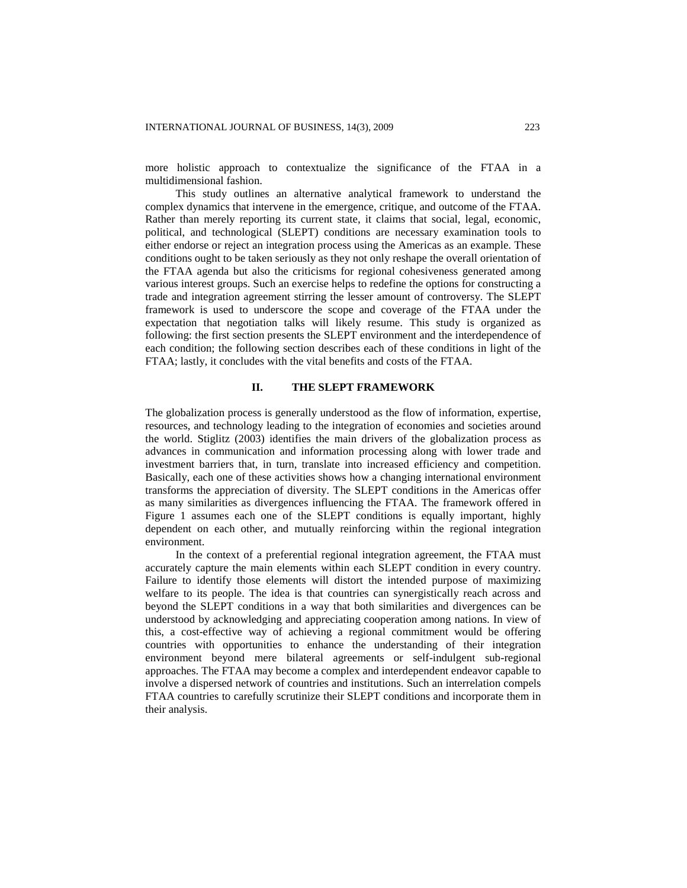more holistic approach to contextualize the significance of the FTAA in a multidimensional fashion.

This study outlines an alternative analytical framework to understand the complex dynamics that intervene in the emergence, critique, and outcome of the FTAA. Rather than merely reporting its current state, it claims that social, legal, economic, political, and technological (SLEPT) conditions are necessary examination tools to either endorse or reject an integration process using the Americas as an example. These conditions ought to be taken seriously as they not only reshape the overall orientation of the FTAA agenda but also the criticisms for regional cohesiveness generated among various interest groups. Such an exercise helps to redefine the options for constructing a trade and integration agreement stirring the lesser amount of controversy. The SLEPT framework is used to underscore the scope and coverage of the FTAA under the expectation that negotiation talks will likely resume. This study is organized as following: the first section presents the SLEPT environment and the interdependence of each condition; the following section describes each of these conditions in light of the FTAA; lastly, it concludes with the vital benefits and costs of the FTAA.

## **II. THE SLEPT FRAMEWORK**

The globalization process is generally understood as the flow of information, expertise, resources, and technology leading to the integration of economies and societies around the world. Stiglitz (2003) identifies the main drivers of the globalization process as advances in communication and information processing along with lower trade and investment barriers that, in turn, translate into increased efficiency and competition. Basically, each one of these activities shows how a changing international environment transforms the appreciation of diversity. The SLEPT conditions in the Americas offer as many similarities as divergences influencing the FTAA. The framework offered in Figure 1 assumes each one of the SLEPT conditions is equally important, highly dependent on each other, and mutually reinforcing within the regional integration environment.

In the context of a preferential regional integration agreement, the FTAA must accurately capture the main elements within each SLEPT condition in every country. Failure to identify those elements will distort the intended purpose of maximizing welfare to its people. The idea is that countries can synergistically reach across and beyond the SLEPT conditions in a way that both similarities and divergences can be understood by acknowledging and appreciating cooperation among nations. In view of this, a cost-effective way of achieving a regional commitment would be offering countries with opportunities to enhance the understanding of their integration environment beyond mere bilateral agreements or self-indulgent sub-regional approaches. The FTAA may become a complex and interdependent endeavor capable to involve a dispersed network of countries and institutions. Such an interrelation compels FTAA countries to carefully scrutinize their SLEPT conditions and incorporate them in their analysis.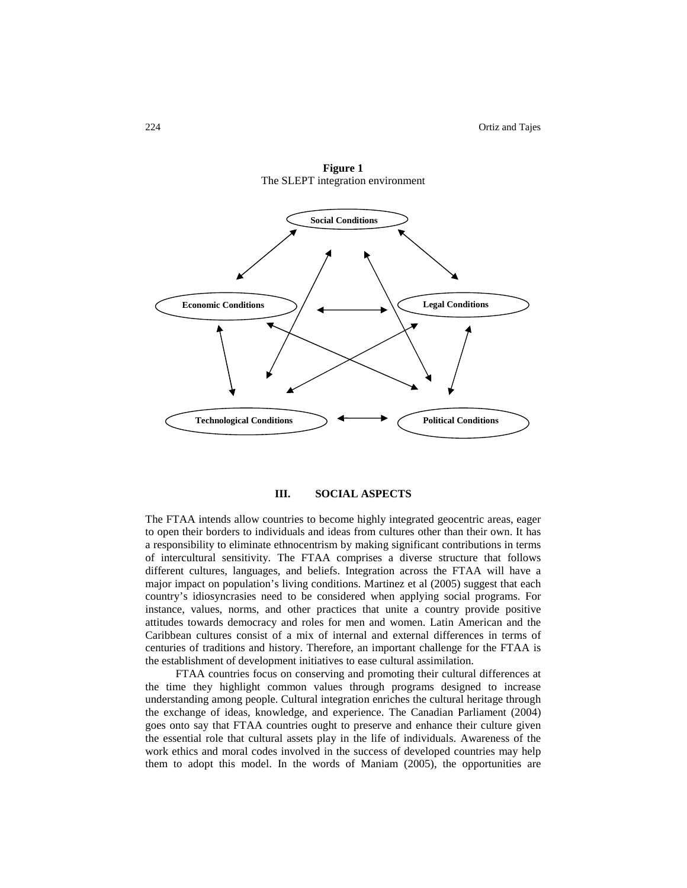

**Figure 1** The SLEPT integration environment

# **III. SOCIAL ASPECTS**

The FTAA intends allow countries to become highly integrated geocentric areas, eager to open their borders to individuals and ideas from cultures other than their own. It has a responsibility to eliminate ethnocentrism by making significant contributions in terms of intercultural sensitivity. The FTAA comprises a diverse structure that follows different cultures, languages, and beliefs. Integration across the FTAA will have a major impact on population's living conditions. Martinez et al (2005) suggest that each country's idiosyncrasies need to be considered when applying social programs. For instance, values, norms, and other practices that unite a country provide positive attitudes towards democracy and roles for men and women. Latin American and the Caribbean cultures consist of a mix of internal and external differences in terms of centuries of traditions and history. Therefore, an important challenge for the FTAA is the establishment of development initiatives to ease cultural assimilation.

FTAA countries focus on conserving and promoting their cultural differences at the time they highlight common values through programs designed to increase understanding among people. Cultural integration enriches the cultural heritage through the exchange of ideas, knowledge, and experience. The Canadian Parliament (2004) goes onto say that FTAA countries ought to preserve and enhance their culture given the essential role that cultural assets play in the life of individuals. Awareness of the work ethics and moral codes involved in the success of developed countries may help them to adopt this model. In the words of Maniam (2005), the opportunities are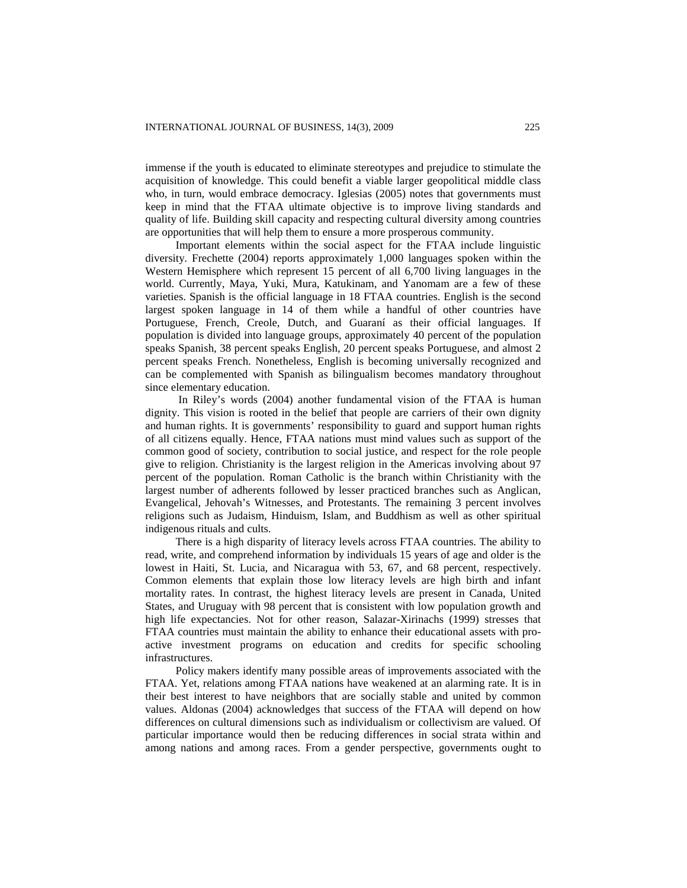immense if the youth is educated to eliminate stereotypes and prejudice to stimulate the acquisition of knowledge. This could benefit a viable larger geopolitical middle class who, in turn, would embrace democracy. Iglesias (2005) notes that governments must keep in mind that the FTAA ultimate objective is to improve living standards and quality of life. Building skill capacity and respecting cultural diversity among countries are opportunities that will help them to ensure a more prosperous community.

Important elements within the social aspect for the FTAA include linguistic diversity. Frechette (2004) reports approximately 1,000 languages spoken within the Western Hemisphere which represent 15 percent of all 6,700 living languages in the world. Currently, Maya, Yuki, Mura, Katukinam, and Yanomam are a few of these varieties. Spanish is the official language in 18 FTAA countries. English is the second largest spoken language in 14 of them while a handful of other countries have Portuguese, French, Creole, Dutch, and Guaraní as their official languages. If population is divided into language groups, approximately 40 percent of the population speaks Spanish, 38 percent speaks English, 20 percent speaks Portuguese, and almost 2 percent speaks French. Nonetheless, English is becoming universally recognized and can be complemented with Spanish as bilingualism becomes mandatory throughout since elementary education.

In Riley's words (2004) another fundamental vision of the FTAA is human dignity. This vision is rooted in the belief that people are carriers of their own dignity and human rights. It is governments' responsibility to guard and support human rights of all citizens equally. Hence, FTAA nations must mind values such as support of the common good of society, contribution to social justice, and respect for the role people give to religion. Christianity is the largest religion in the Americas involving about 97 percent of the population. Roman Catholic is the branch within Christianity with the largest number of adherents followed by lesser practiced branches such as Anglican, Evangelical, Jehovah's Witnesses, and Protestants. The remaining 3 percent involves religions such as Judaism, Hinduism, Islam, and Buddhism as well as other spiritual indigenous rituals and cults.

There is a high disparity of literacy levels across FTAA countries. The ability to read, write, and comprehend information by individuals 15 years of age and older is the lowest in Haiti, St. Lucia, and Nicaragua with 53, 67, and 68 percent, respectively. Common elements that explain those low literacy levels are high birth and infant mortality rates. In contrast, the highest literacy levels are present in Canada, United States, and Uruguay with 98 percent that is consistent with low population growth and high life expectancies. Not for other reason, Salazar-Xirinachs (1999) stresses that FTAA countries must maintain the ability to enhance their educational assets with proactive investment programs on education and credits for specific schooling infrastructures.

Policy makers identify many possible areas of improvements associated with the FTAA. Yet, relations among FTAA nations have weakened at an alarming rate. It is in their best interest to have neighbors that are socially stable and united by common values. Aldonas (2004) acknowledges that success of the FTAA will depend on how differences on cultural dimensions such as individualism or collectivism are valued. Of particular importance would then be reducing differences in social strata within and among nations and among races. From a gender perspective, governments ought to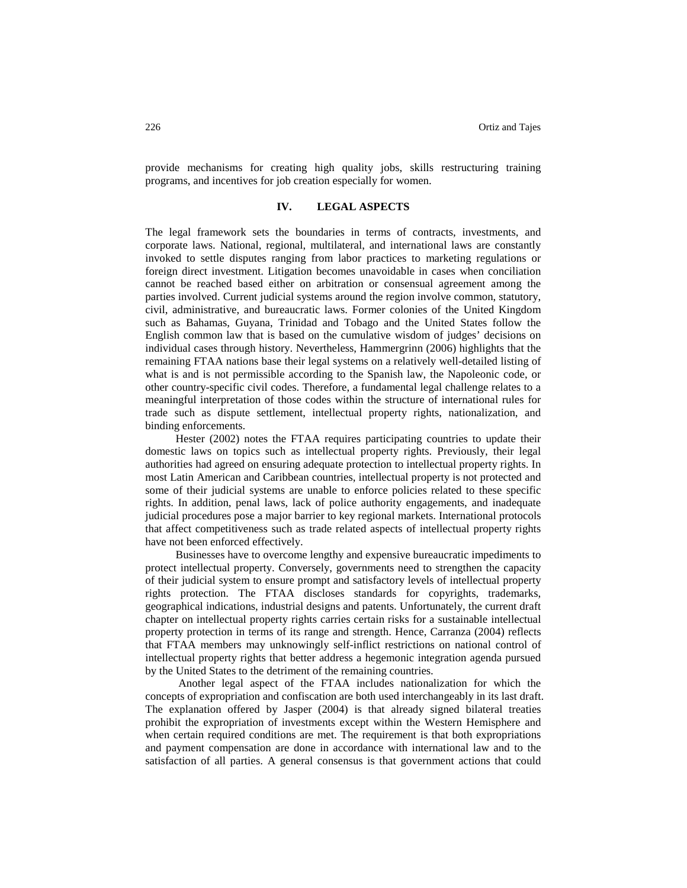provide mechanisms for creating high quality jobs, skills restructuring training programs, and incentives for job creation especially for women.

## **IV. LEGAL ASPECTS**

The legal framework sets the boundaries in terms of contracts, investments, and corporate laws. National, regional, multilateral, and international laws are constantly invoked to settle disputes ranging from labor practices to marketing regulations or foreign direct investment. Litigation becomes unavoidable in cases when conciliation cannot be reached based either on arbitration or consensual agreement among the parties involved. Current judicial systems around the region involve common, statutory, civil, administrative, and bureaucratic laws. Former colonies of the United Kingdom such as Bahamas, Guyana, Trinidad and Tobago and the United States follow the English common law that is based on the cumulative wisdom of judges' decisions on individual cases through history. Nevertheless, Hammergrinn (2006) highlights that the remaining FTAA nations base their legal systems on a relatively well-detailed listing of what is and is not permissible according to the Spanish law, the Napoleonic code, or other country-specific civil codes. Therefore, a fundamental legal challenge relates to a meaningful interpretation of those codes within the structure of international rules for trade such as dispute settlement, intellectual property rights, nationalization, and binding enforcements.

Hester (2002) notes the FTAA requires participating countries to update their domestic laws on topics such as intellectual property rights. Previously, their legal authorities had agreed on ensuring adequate protection to intellectual property rights. In most Latin American and Caribbean countries, intellectual property is not protected and some of their judicial systems are unable to enforce policies related to these specific rights. In addition, penal laws, lack of police authority engagements, and inadequate judicial procedures pose a major barrier to key regional markets. International protocols that affect competitiveness such as trade related aspects of intellectual property rights have not been enforced effectively.

Businesses have to overcome lengthy and expensive bureaucratic impediments to protect intellectual property. Conversely, governments need to strengthen the capacity of their judicial system to ensure prompt and satisfactory levels of intellectual property rights protection. The FTAA discloses standards for copyrights, trademarks, geographical indications, industrial designs and patents. Unfortunately, the current draft chapter on intellectual property rights carries certain risks for a sustainable intellectual property protection in terms of its range and strength. Hence, Carranza (2004) reflects that FTAA members may unknowingly self-inflict restrictions on national control of intellectual property rights that better address a hegemonic integration agenda pursued by the United States to the detriment of the remaining countries.

Another legal aspect of the FTAA includes nationalization for which the concepts of expropriation and confiscation are both used interchangeably in its last draft. The explanation offered by Jasper (2004) is that already signed bilateral treaties prohibit the expropriation of investments except within the Western Hemisphere and when certain required conditions are met. The requirement is that both expropriations and payment compensation are done in accordance with international law and to the satisfaction of all parties. A general consensus is that government actions that could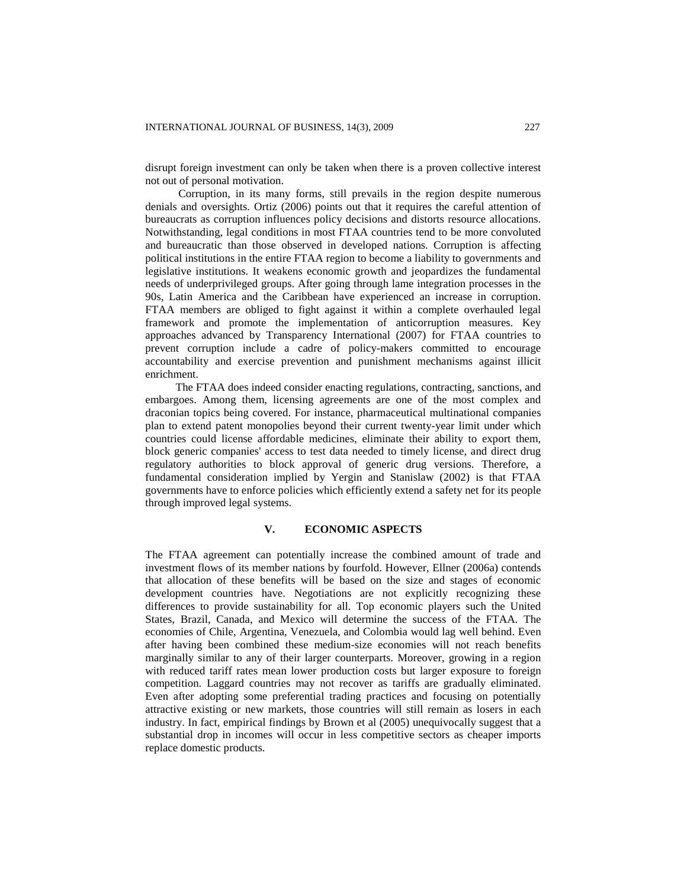disrupt foreign investment can only be taken when there is a proven collective interest not out of personal motivation.

Corruption, in its many forms, still prevails in the region despite numerous denials and oversights. Ortiz (2006) points out that it requires the careful attention of bureaucrats as corruption influences policy decisions and distorts resource allocations. Notwithstanding, legal conditions in most FTAA countries tend to be more convoluted and bureaucratic than those observed in developed nations. Corruption is affecting political institutions in the entire FTAA region to become a liability to governments and legislative institutions. It weakens economic growth and jeopardizes the fundamental needs of underprivileged groups. After going through lame integration processes in the 90s, Latin America and the Caribbean have experienced an increase in corruption. FTAA members are obliged to fight against it within a complete overhauled legal framework and promote the implementation of anticorruption measures. Key approaches advanced by Transparency International (2007) for FTAA countries to prevent corruption include a cadre of policy-makers committed to encourage accountability and exercise prevention and punishment mechanisms against illicit enrichment.

The FTAA does indeed consider enacting regulations, contracting, sanctions, and embargoes. Among them, licensing agreements are one of the most complex and draconian topics being covered. For instance, pharmaceutical multinational companies plan to extend patent monopolies beyond their current twenty-year limit under which countries could license affordable medicines, eliminate their ability to export them, block generic companies' access to test data needed to timely license, and direct drug regulatory authorities to block approval of generic drug versions. Therefore, a fundamental consideration implied by Yergin and Stanislaw (2002) is that FTAA governments have to enforce policies which efficiently extend a safety net for its people through improved legal systems.

#### **V. ECONOMIC ASPECTS**

The FTAA agreement can potentially increase the combined amount of trade and investment flows of its member nations by fourfold. However, Ellner (2006a) contends that allocation of these benefits will be based on the size and stages of economic development countries have. Negotiations are not explicitly recognizing these differences to provide sustainability for all. Top economic players such the United States, Brazil, Canada, and Mexico will determine the success of the FTAA. The economies of Chile, Argentina, Venezuela, and Colombia would lag well behind. Even after having been combined these medium-size economies will not reach benefits marginally similar to any of their larger counterparts. Moreover, growing in a region with reduced tariff rates mean lower production costs but larger exposure to foreign competition. Laggard countries may not recover as tariffs are gradually eliminated. Even after adopting some preferential trading practices and focusing on potentially attractive existing or new markets, those countries will still remain as losers in each industry. In fact, empirical findings by Brown et al (2005) unequivocally suggest that a substantial drop in incomes will occur in less competitive sectors as cheaper imports replace domestic products.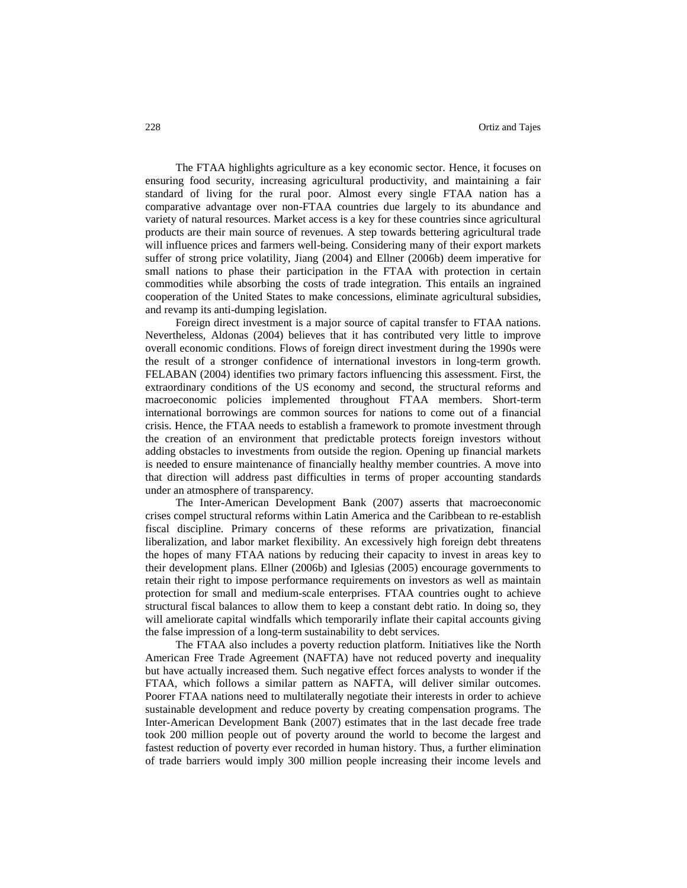The FTAA highlights agriculture as a key economic sector. Hence, it focuses on ensuring food security, increasing agricultural productivity, and maintaining a fair standard of living for the rural poor. Almost every single FTAA nation has a comparative advantage over non-FTAA countries due largely to its abundance and variety of natural resources. Market access is a key for these countries since agricultural products are their main source of revenues. A step towards bettering agricultural trade will influence prices and farmers well-being. Considering many of their export markets suffer of strong price volatility, Jiang (2004) and Ellner (2006b) deem imperative for small nations to phase their participation in the FTAA with protection in certain commodities while absorbing the costs of trade integration. This entails an ingrained cooperation of the United States to make concessions, eliminate agricultural subsidies, and revamp its anti-dumping legislation.

Foreign direct investment is a major source of capital transfer to FTAA nations. Nevertheless, Aldonas (2004) believes that it has contributed very little to improve overall economic conditions. Flows of foreign direct investment during the 1990s were the result of a stronger confidence of international investors in long-term growth. FELABAN (2004) identifies two primary factors influencing this assessment. First, the extraordinary conditions of the US economy and second, the structural reforms and macroeconomic policies implemented throughout FTAA members. Short-term international borrowings are common sources for nations to come out of a financial crisis. Hence, the FTAA needs to establish a framework to promote investment through the creation of an environment that predictable protects foreign investors without adding obstacles to investments from outside the region. Opening up financial markets is needed to ensure maintenance of financially healthy member countries. A move into that direction will address past difficulties in terms of proper accounting standards under an atmosphere of transparency.

The Inter-American Development Bank (2007) asserts that macroeconomic crises compel structural reforms within Latin America and the Caribbean to re-establish fiscal discipline. Primary concerns of these reforms are privatization, financial liberalization, and labor market flexibility. An excessively high foreign debt threatens the hopes of many FTAA nations by reducing their capacity to invest in areas key to their development plans. Ellner (2006b) and Iglesias (2005) encourage governments to retain their right to impose performance requirements on investors as well as maintain protection for small and medium-scale enterprises. FTAA countries ought to achieve structural fiscal balances to allow them to keep a constant debt ratio. In doing so, they will ameliorate capital windfalls which temporarily inflate their capital accounts giving the false impression of a long-term sustainability to debt services.

The FTAA also includes a poverty reduction platform. Initiatives like the North American Free Trade Agreement (NAFTA) have not reduced poverty and inequality but have actually increased them. Such negative effect forces analysts to wonder if the FTAA, which follows a similar pattern as NAFTA, will deliver similar outcomes. Poorer FTAA nations need to multilaterally negotiate their interests in order to achieve sustainable development and reduce poverty by creating compensation programs. The Inter-American Development Bank (2007) estimates that in the last decade free trade took 200 million people out of poverty around the world to become the largest and fastest reduction of poverty ever recorded in human history. Thus, a further elimination of trade barriers would imply 300 million people increasing their income levels and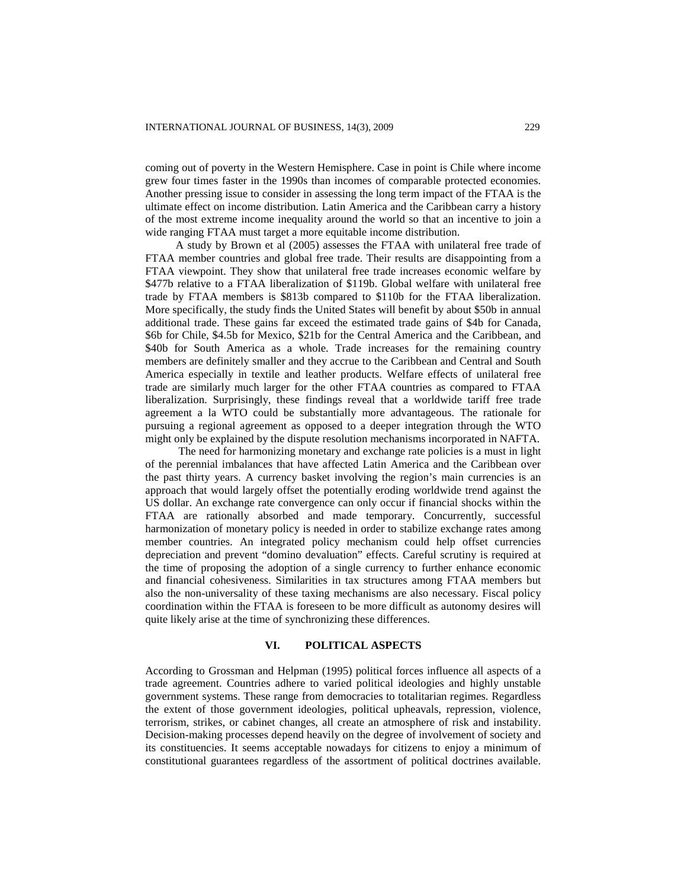coming out of poverty in the Western Hemisphere. Case in point is Chile where income grew four times faster in the 1990s than incomes of comparable protected economies. Another pressing issue to consider in assessing the long term impact of the FTAA is the ultimate effect on income distribution. Latin America and the Caribbean carry a history of the most extreme income inequality around the world so that an incentive to join a wide ranging FTAA must target a more equitable income distribution.

A study by Brown et al (2005) assesses the FTAA with unilateral free trade of FTAA member countries and global free trade. Their results are disappointing from a FTAA viewpoint. They show that unilateral free trade increases economic welfare by \$477b relative to a FTAA liberalization of \$119b. Global welfare with unilateral free trade by FTAA members is \$813b compared to \$110b for the FTAA liberalization. More specifically, the study finds the United States will benefit by about \$50b in annual additional trade. These gains far exceed the estimated trade gains of \$4b for Canada, \$6b for Chile, \$4.5b for Mexico, \$21b for the Central America and the Caribbean, and \$40b for South America as a whole. Trade increases for the remaining country members are definitely smaller and they accrue to the Caribbean and Central and South America especially in textile and leather products. Welfare effects of unilateral free trade are similarly much larger for the other FTAA countries as compared to FTAA liberalization. Surprisingly, these findings reveal that a worldwide tariff free trade agreement a la WTO could be substantially more advantageous. The rationale for pursuing a regional agreement as opposed to a deeper integration through the WTO might only be explained by the dispute resolution mechanisms incorporated in NAFTA.

The need for harmonizing monetary and exchange rate policies is a must in light of the perennial imbalances that have affected Latin America and the Caribbean over the past thirty years. A currency basket involving the region's main currencies is an approach that would largely offset the potentially eroding worldwide trend against the US dollar. An exchange rate convergence can only occur if financial shocks within the FTAA are rationally absorbed and made temporary. Concurrently, successful harmonization of monetary policy is needed in order to stabilize exchange rates among member countries. An integrated policy mechanism could help offset currencies depreciation and prevent "domino devaluation" effects. Careful scrutiny is required at the time of proposing the adoption of a single currency to further enhance economic and financial cohesiveness. Similarities in tax structures among FTAA members but also the non-universality of these taxing mechanisms are also necessary. Fiscal policy coordination within the FTAA is foreseen to be more difficult as autonomy desires will quite likely arise at the time of synchronizing these differences.

#### **VI. POLITICAL ASPECTS**

According to Grossman and Helpman (1995) political forces influence all aspects of a trade agreement. Countries adhere to varied political ideologies and highly unstable government systems. These range from democracies to totalitarian regimes. Regardless the extent of those government ideologies, political upheavals, repression, violence, terrorism, strikes, or cabinet changes, all create an atmosphere of risk and instability. Decision-making processes depend heavily on the degree of involvement of society and its constituencies. It seems acceptable nowadays for citizens to enjoy a minimum of constitutional guarantees regardless of the assortment of political doctrines available.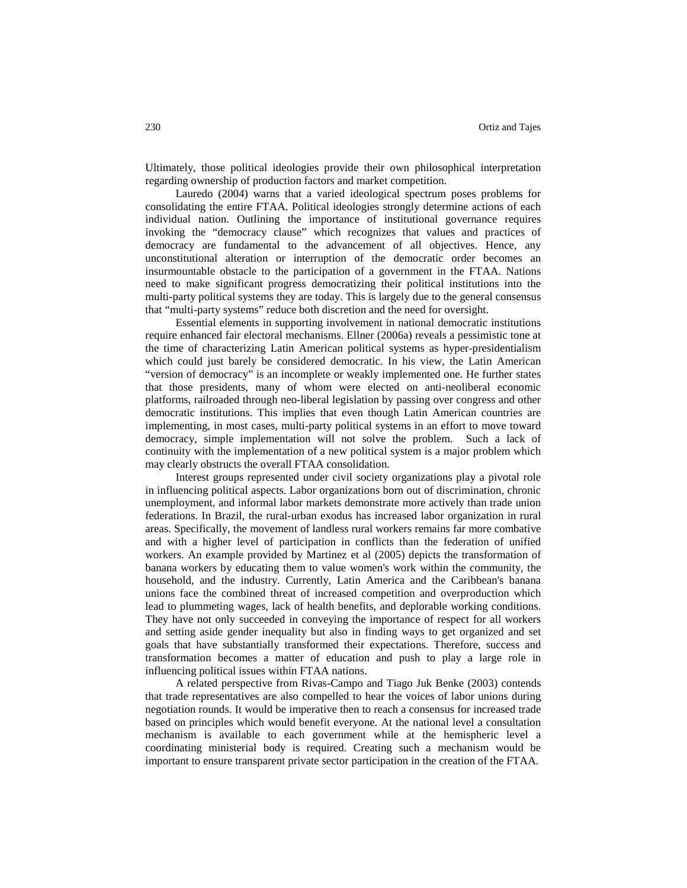Ultimately, those political ideologies provide their own philosophical interpretation regarding ownership of production factors and market competition.

Lauredo (2004) warns that a varied ideological spectrum poses problems for consolidating the entire FTAA. Political ideologies strongly determine actions of each individual nation. Outlining the importance of institutional governance requires invoking the "democracy clause" which recognizes that values and practices of democracy are fundamental to the advancement of all objectives. Hence, any unconstitutional alteration or interruption of the democratic order becomes an insurmountable obstacle to the participation of a government in the FTAA. Nations need to make significant progress democratizing their political institutions into the multi-party political systems they are today. This is largely due to the general consensus that "multi-party systems" reduce both discretion and the need for oversight.

Essential elements in supporting involvement in national democratic institutions require enhanced fair electoral mechanisms. Ellner (2006a) reveals a pessimistic tone at the time of characterizing Latin American political systems as hyper-presidentialism which could just barely be considered democratic. In his view, the Latin American "version of democracy" is an incomplete or weakly implemented one. He further states that those presidents, many of whom were elected on anti-neoliberal economic platforms, railroaded through neo-liberal legislation by passing over congress and other democratic institutions. This implies that even though Latin American countries are implementing, in most cases, multi-party political systems in an effort to move toward democracy, simple implementation will not solve the problem. Such a lack of continuity with the implementation of a new political system is a major problem which may clearly obstructs the overall FTAA consolidation.

Interest groups represented under civil society organizations play a pivotal role in influencing political aspects. Labor organizations born out of discrimination, chronic unemployment, and informal labor markets demonstrate more actively than trade union federations. In Brazil, the rural-urban exodus has increased labor organization in rural areas. Specifically, the movement of landless rural workers remains far more combative and with a higher level of participation in conflicts than the federation of unified workers. An example provided by Martinez et al (2005) depicts the transformation of banana workers by educating them to value women's work within the community, the household, and the industry. Currently, Latin America and the Caribbean's banana unions face the combined threat of increased competition and overproduction which lead to plummeting wages, lack of health benefits, and deplorable working conditions. They have not only succeeded in conveying the importance of respect for all workers and setting aside gender inequality but also in finding ways to get organized and set goals that have substantially transformed their expectations. Therefore, success and transformation becomes a matter of education and push to play a large role in influencing political issues within FTAA nations.

A related perspective from Rivas-Campo and Tiago Juk Benke (2003) contends that trade representatives are also compelled to hear the voices of labor unions during negotiation rounds. It would be imperative then to reach a consensus for increased trade based on principles which would benefit everyone. At the national level a consultation mechanism is available to each government while at the hemispheric level a coordinating ministerial body is required. Creating such a mechanism would be important to ensure transparent private sector participation in the creation of the FTAA.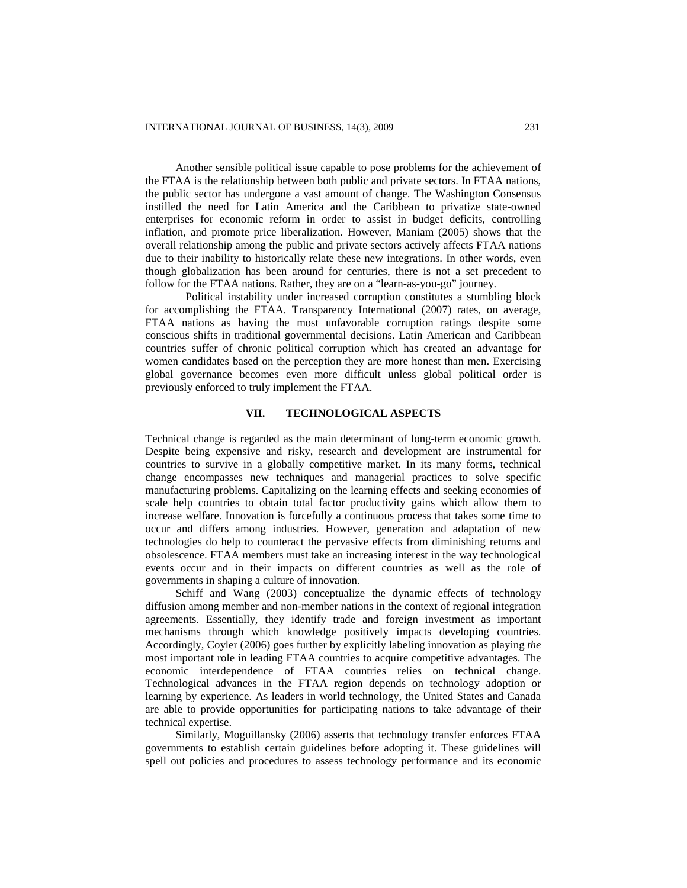Another sensible political issue capable to pose problems for the achievement of the FTAA is the relationship between both public and private sectors. In FTAA nations, the public sector has undergone a vast amount of change. The Washington Consensus instilled the need for Latin America and the Caribbean to privatize state-owned enterprises for economic reform in order to assist in budget deficits, controlling inflation, and promote price liberalization. However, Maniam (2005) shows that the overall relationship among the public and private sectors actively affects FTAA nations due to their inability to historically relate these new integrations. In other words, even though globalization has been around for centuries, there is not a set precedent to follow for the FTAA nations. Rather, they are on a "learn-as-you-go" journey.

Political instability under increased corruption constitutes a stumbling block for accomplishing the FTAA. Transparency International (2007) rates, on average, FTAA nations as having the most unfavorable corruption ratings despite some conscious shifts in traditional governmental decisions. Latin American and Caribbean countries suffer of chronic political corruption which has created an advantage for women candidates based on the perception they are more honest than men. Exercising global governance becomes even more difficult unless global political order is previously enforced to truly implement the FTAA.

# **VII. TECHNOLOGICAL ASPECTS**

Technical change is regarded as the main determinant of long-term economic growth. Despite being expensive and risky, research and development are instrumental for countries to survive in a globally competitive market. In its many forms, technical change encompasses new techniques and managerial practices to solve specific manufacturing problems. Capitalizing on the learning effects and seeking economies of scale help countries to obtain total factor productivity gains which allow them to increase welfare. Innovation is forcefully a continuous process that takes some time to occur and differs among industries. However, generation and adaptation of new technologies do help to counteract the pervasive effects from diminishing returns and obsolescence. FTAA members must take an increasing interest in the way technological events occur and in their impacts on different countries as well as the role of governments in shaping a culture of innovation.

Schiff and Wang (2003) conceptualize the dynamic effects of technology diffusion among member and non-member nations in the context of regional integration agreements. Essentially, they identify trade and foreign investment as important mechanisms through which knowledge positively impacts developing countries. Accordingly, Coyler (2006) goes further by explicitly labeling innovation as playing *the* most important role in leading FTAA countries to acquire competitive advantages. The economic interdependence of FTAA countries relies on technical change. Technological advances in the FTAA region depends on technology adoption or learning by experience. As leaders in world technology, the United States and Canada are able to provide opportunities for participating nations to take advantage of their technical expertise.

Similarly, Moguillansky (2006) asserts that technology transfer enforces FTAA governments to establish certain guidelines before adopting it. These guidelines will spell out policies and procedures to assess technology performance and its economic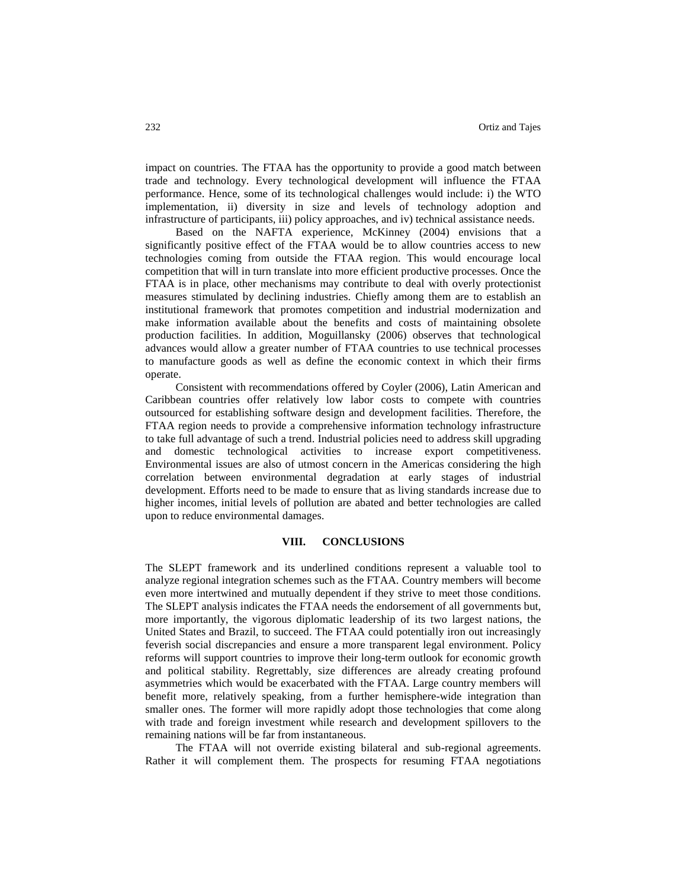impact on countries. The FTAA has the opportunity to provide a good match between trade and technology. Every technological development will influence the FTAA performance. Hence, some of its technological challenges would include: i) the WTO implementation, ii) diversity in size and levels of technology adoption and infrastructure of participants, iii) policy approaches, and iv) technical assistance needs.

Based on the NAFTA experience, McKinney (2004) envisions that a significantly positive effect of the FTAA would be to allow countries access to new technologies coming from outside the FTAA region. This would encourage local competition that will in turn translate into more efficient productive processes. Once the FTAA is in place, other mechanisms may contribute to deal with overly protectionist measures stimulated by declining industries. Chiefly among them are to establish an institutional framework that promotes competition and industrial modernization and make information available about the benefits and costs of maintaining obsolete production facilities. In addition, Moguillansky (2006) observes that technological advances would allow a greater number of FTAA countries to use technical processes to manufacture goods as well as define the economic context in which their firms operate.

Consistent with recommendations offered by Coyler (2006), Latin American and Caribbean countries offer relatively low labor costs to compete with countries outsourced for establishing software design and development facilities. Therefore, the FTAA region needs to provide a comprehensive information technology infrastructure to take full advantage of such a trend. Industrial policies need to address skill upgrading and domestic technological activities to increase export competitiveness. Environmental issues are also of utmost concern in the Americas considering the high correlation between environmental degradation at early stages of industrial development. Efforts need to be made to ensure that as living standards increase due to higher incomes, initial levels of pollution are abated and better technologies are called upon to reduce environmental damages.

## **VIII. CONCLUSIONS**

The SLEPT framework and its underlined conditions represent a valuable tool to analyze regional integration schemes such as the FTAA. Country members will become even more intertwined and mutually dependent if they strive to meet those conditions. The SLEPT analysis indicates the FTAA needs the endorsement of all governments but, more importantly, the vigorous diplomatic leadership of its two largest nations, the United States and Brazil, to succeed. The FTAA could potentially iron out increasingly feverish social discrepancies and ensure a more transparent legal environment. Policy reforms will support countries to improve their long-term outlook for economic growth and political stability. Regrettably, size differences are already creating profound asymmetries which would be exacerbated with the FTAA. Large country members will benefit more, relatively speaking, from a further hemisphere-wide integration than smaller ones. The former will more rapidly adopt those technologies that come along with trade and foreign investment while research and development spillovers to the remaining nations will be far from instantaneous.

The FTAA will not override existing bilateral and sub-regional agreements. Rather it will complement them. The prospects for resuming FTAA negotiations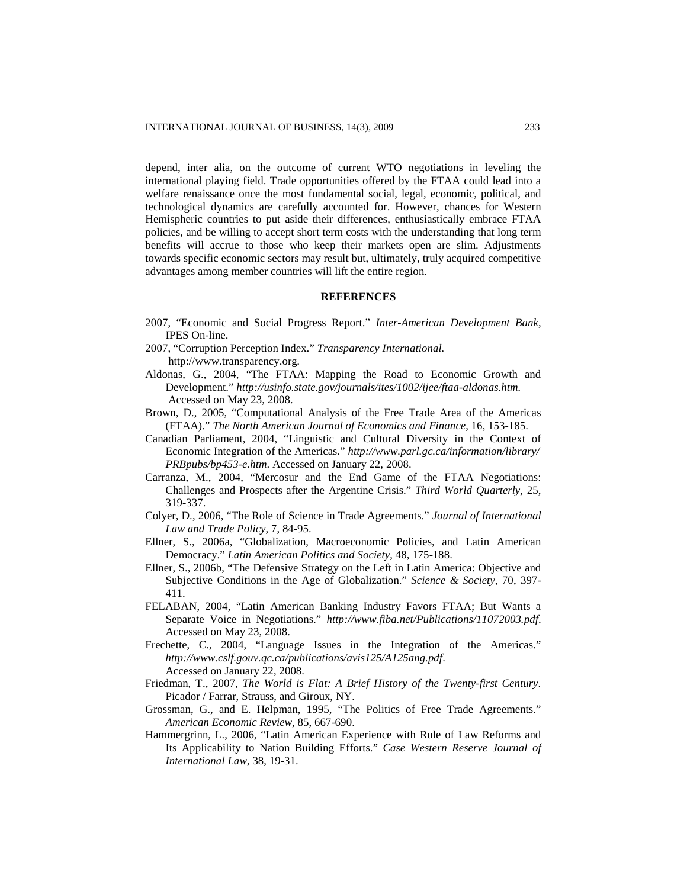depend, inter alia, on the outcome of current WTO negotiations in leveling the international playing field. Trade opportunities offered by the FTAA could lead into a welfare renaissance once the most fundamental social, legal, economic, political, and technological dynamics are carefully accounted for. However, chances for Western Hemispheric countries to put aside their differences, enthusiastically embrace FTAA policies, and be willing to accept short term costs with the understanding that long term benefits will accrue to those who keep their markets open are slim. Adjustments towards specific economic sectors may result but, ultimately, truly acquired competitive advantages among member countries will lift the entire region.

## **REFERENCES**

- 2007, "Economic and Social Progress Report." *Inter-American Development Bank*, IPES On-line.
- 2007, "Corruption Perception Index." *Transparency International.* http://www.transparency.org*.*
- Aldonas, G., 2004, "The FTAA: Mapping the Road to Economic Growth and Development." *[http://usinfo.state.gov/journals/ites/1002/ijee/ftaa-aldonas.htm.](http://usinfo.state.gov/journals/ites/1002/ijee/ftaa-aldonas.htm)* Accessed on May 23, 2008.
- Brown, D., 2005, "Computational Analysis of the Free Trade Area of the Americas (FTAA)." *The North American Journal of Economics and Finance*, 16, 153-185.
- Canadian Parliament, 2004, "Linguistic and Cultural Diversity in the Context of Economic Integration of the Americas." *<http://www.parl.gc.ca/information/library/> PRBpubs/bp453-e.htm*. Accessed on January 22, 2008.
- Carranza, M., 2004, "Mercosur and the End Game of the FTAA Negotiations: Challenges and Prospects after the Argentine Crisis." *Third World Quarterly,* 25, 319-337.
- Colyer, D., 2006, "The Role of Science in Trade Agreements." *Journal of International Law and Trade Policy*, 7, 84-95.
- Ellner, S., 2006a, "Globalization, Macroeconomic Policies, and Latin American Democracy." *Latin American Politics and Society*, 48, 175-188.
- Ellner, S., 2006b, "The Defensive Strategy on the Left in Latin America: Objective and Subjective Conditions in the Age of Globalization." *Science & Society*, 70, 397- 411.
- FELABAN, 2004, "Latin American Banking Industry Favors FTAA; But Wants a Separate Voice in Negotiations." *http://www.fiba.net/Publications/11072003.pdf*. Accessed on May 23, 2008.
- Frechette, C., 2004, "Language Issues in the Integration of the Americas." *http://www.cslf.gouv.qc.ca/publications/avis125/A125ang.pdf*. Accessed on January 22, 2008.
- Friedman, T., 2007, *The World is Flat: A Brief History of the Twenty-first Century*. Picador / Farrar, Strauss, and Giroux, NY.
- Grossman, G., and E. Helpman, 1995, "The Politics of Free Trade Agreements." *American Economic Review*, 85, 667-690.
- Hammergrinn, L., 2006, "Latin American Experience with Rule of Law Reforms and Its Applicability to Nation Building Efforts." *Case Western Reserve Journal of International Law*, 38, 19-31.